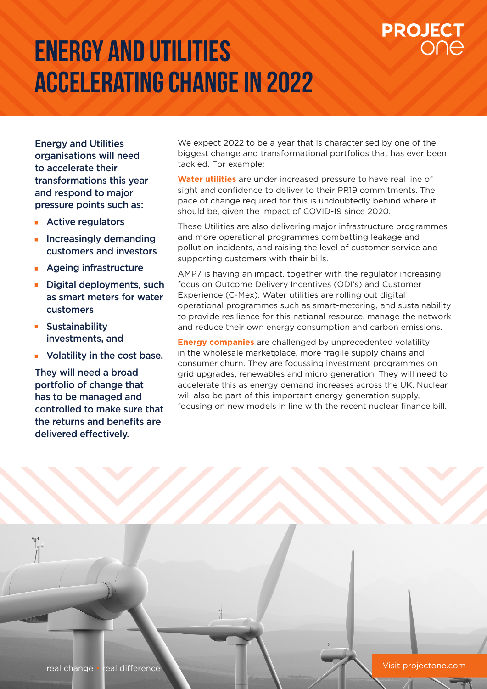## **Energy and utilities accelerating change in 2022**

# **PROJECT**

Energy and Utilities organisations will need to accelerate their transformations this year and respond to major pressure points such as:

- **Active regulators**
- $\blacksquare$  Increasingly demanding customers and investors
- **Ageing infrastructure**
- **Digital deployments, such** as smart meters for water customers
- **Sustainability** investments, and
- **v** Volatility in the cost base.

They will need a broad portfolio of change that has to be managed and controlled to make sure that the returns and benefits are delivered effectively.

We expect 2022 to be a year that is characterised by one of the biggest change and transformational portfolios that has ever been tackled. For example:

**Water utilities** are under increased pressure to have real line of sight and confidence to deliver to their PR19 commitments. The pace of change required for this is undoubtedly behind where it should be, given the impact of COVID-19 since 2020.

These Utilities are also delivering major infrastructure programmes and more operational programmes combatting leakage and pollution incidents, and raising the level of customer service and supporting customers with their bills.

AMP7 is having an impact, together with the regulator increasing focus on Outcome Delivery Incentives (ODI's) and Customer Experience (C-Mex). Water utilities are rolling out digital operational programmes such as smart-metering, and sustainability to provide resilience for this national resource, manage the network and reduce their own energy consumption and carbon emissions.

**Energy companies** are challenged by unprecedented volatility in the wholesale marketplace, more fragile supply chains and consumer churn. They are focussing investment programmes on grid upgrades, renewables and micro generation. They will need to accelerate this as energy demand increases across the UK. Nuclear will also be part of this important energy generation supply. focusing on new models in line with the recent nuclear finance bill.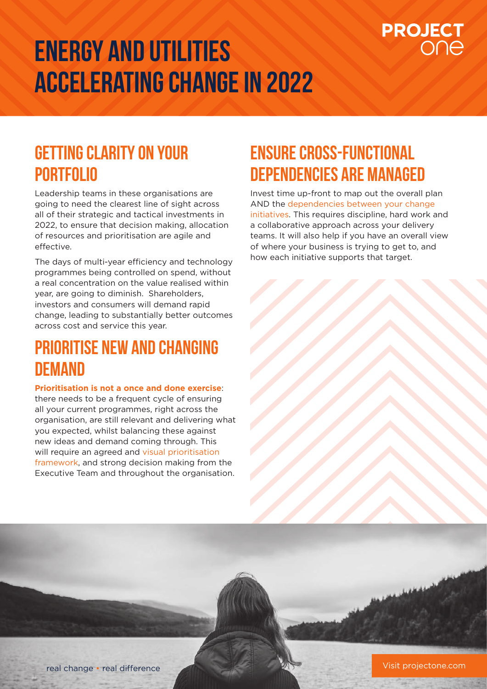## **Energy and utilities Accelerating change in 2022**

# **PROJECT**

### **GETTING CLARITY ON YOUR PORTFOLIO**

Leadership teams in these organisations are going to need the clearest line of sight across all of their strategic and tactical investments in 2022, to ensure that decision making, allocation of resources and prioritisation are agile and effective.

The days of multi-year efficiency and technology programmes being controlled on spend, without a real concentration on the value realised within year, are going to diminish. Shareholders, investors and consumers will demand rapid change, leading to substantially better outcomes across cost and service this year.

### **Prioritise new and changing demand**

#### **Prioritisation is not a once and done exercise**:

there needs to be a frequent cycle of ensuring all your current programmes, right across the organisation, are still relevant and delivering what you expected, whilst balancing these against new ideas and demand coming through. This will require an agreed and visual prioritisation framework, and strong decision making from the Executive Team and throughout the organisation.

## **Ensure cross-functional dependencies are managed**

Invest time up-front to map out the overall plan AND the dependencies between your change initiatives. This requires discipline, hard work and a collaborative approach across your delivery teams. It will also help if you have an overall view of where your business is trying to get to, and how each initiative supports that target.



Visit projectone.com